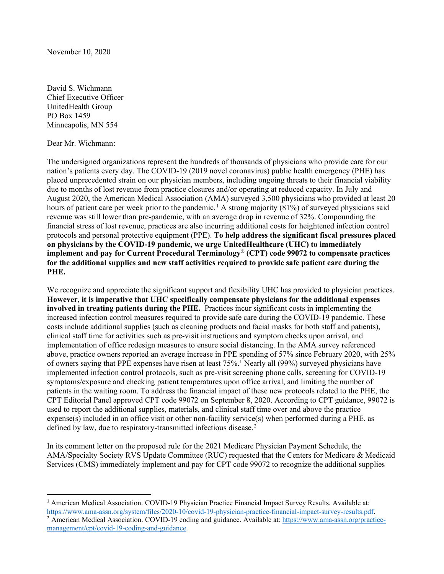David S. Wichmann Chief Executive Officer UnitedHealth Group PO Box 1459 Minneapolis, MN 554

Dear Mr. Wichmann:

The undersigned organizations represent the hundreds of thousands of physicians who provide care for our nation's patients every day. The COVID-19 (2019 novel coronavirus) public health emergency (PHE) has placed unprecedented strain on our physician members, including ongoing threats to their financial viability due to months of lost revenue from practice closures and/or operating at reduced capacity. In July and August 2020, the American Medical Association (AMA) surveyed 3,500 physicians who provided at least 20 hours of patient care per week prior to the pandemic.<sup>[1](#page-0-0)</sup> A strong majority (81%) of surveyed physicians said revenue was still lower than pre-pandemic, with an average drop in revenue of 32%. Compounding the financial stress of lost revenue, practices are also incurring additional costs for heightened infection control protocols and personal protective equipment (PPE). **To help address the significant fiscal pressures placed on physicians by the COVID-19 pandemic, we urge UnitedHealthcare (UHC) to immediately implement and pay for Current Procedural Terminology® (CPT) code 99072 to compensate practices for the additional supplies and new staff activities required to provide safe patient care during the PHE.**

We recognize and appreciate the significant support and flexibility UHC has provided to physician practices. **However, it is imperative that UHC specifically compensate physicians for the additional expenses involved in treating patients during the PHE.** Practices incur significant costs in implementing the increased infection control measures required to provide safe care during the COVID-19 pandemic. These costs include additional supplies (such as cleaning products and facial masks for both staff and patients), clinical staff time for activities such as pre-visit instructions and symptom checks upon arrival, and implementation of office redesign measures to ensure social distancing. In the AMA survey referenced above, practice owners reported an average increase in PPE spending of 57% since February 2020, with 25% of owners saying that PPE expenses have risen at least  $75\%$ .<sup>1</sup> Nearly all (99%) surveyed physicians have implemented infection control protocols, such as pre-visit screening phone calls, screening for COVID-19 symptoms/exposure and checking patient temperatures upon office arrival, and limiting the number of patients in the waiting room. To address the financial impact of these new protocols related to the PHE, the CPT Editorial Panel approved CPT code 99072 on September 8, 2020. According to CPT guidance, 99072 is used to report the additional supplies, materials, and clinical staff time over and above the practice expense(s) included in an office visit or other non-facility service(s) when performed during a PHE, as defined by law, due to respiratory-transmitted infectious disease.<sup>[2](#page-0-1)</sup>

In its comment letter on the proposed rule for the 2021 Medicare Physician Payment Schedule, the AMA/Specialty Society RVS Update Committee (RUC) requested that the Centers for Medicare & Medicaid Services (CMS) immediately implement and pay for CPT code 99072 to recognize the additional supplies

<span id="page-0-0"></span><sup>1</sup> American Medical Association. COVID-19 Physician Practice Financial Impact Survey Results. Available at: [https://www.ama-assn.org/system/files/2020-10/covid-19-physician-practice-financial-impact-survey-results.pdf.](https://www.ama-assn.org/system/files/2020-10/covid-19-physician-practice-financial-impact-survey-results.pdf)

<span id="page-0-1"></span><sup>&</sup>lt;sup>2</sup> American Medical Association. COVID-19 coding and guidance. Available at: [https://www.ama-assn.org/practice](https://www.ama-assn.org/practice-management/cpt/covid-19-coding-and-guidance)[management/cpt/covid-19-coding-and-guidance.](https://www.ama-assn.org/practice-management/cpt/covid-19-coding-and-guidance)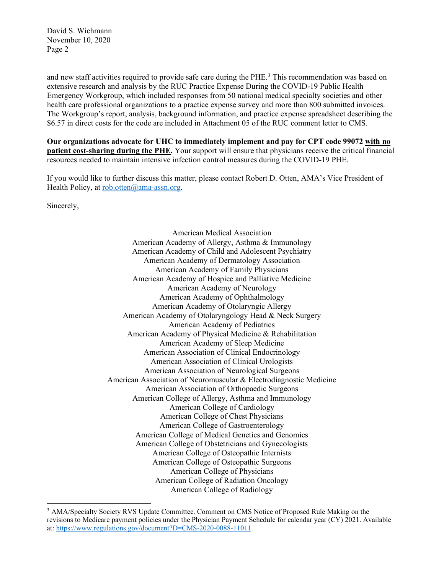David S. Wichmann November 10, 2020 Page 2

and new staff activities required to provide safe care during the PHE. [3](#page-1-0) This recommendation was based on extensive research and analysis by the RUC Practice Expense During the COVID-19 Public Health Emergency Workgroup, which included responses from 50 national medical specialty societies and other health care professional organizations to a practice expense survey and more than 800 submitted invoices. The Workgroup's report, analysis, background information, and practice expense spreadsheet describing the \$6.57 in direct costs for the code are included in Attachment 05 of the RUC comment letter to CMS.

**Our organizations advocate for UHC to immediately implement and pay for CPT code 99072 with no patient cost-sharing during the PHE.** Your support will ensure that physicians receive the critical financial resources needed to maintain intensive infection control measures during the COVID-19 PHE.

If you would like to further discuss this matter, please contact Robert D. Otten, AMA's Vice President of Health Policy, at [rob.otten@ama-assn.org.](mailto:rob.otten@ama-assn.org)

Sincerely,

American Medical Association American Academy of Allergy, Asthma & Immunology American Academy of Child and Adolescent Psychiatry American Academy of Dermatology Association American Academy of Family Physicians American Academy of Hospice and Palliative Medicine American Academy of Neurology American Academy of Ophthalmology American Academy of Otolaryngic Allergy American Academy of Otolaryngology Head & Neck Surgery American Academy of Pediatrics American Academy of Physical Medicine & Rehabilitation American Academy of Sleep Medicine American Association of Clinical Endocrinology American Association of Clinical Urologists American Association of Neurological Surgeons American Association of Neuromuscular & Electrodiagnostic Medicine American Association of Orthopaedic Surgeons American College of Allergy, Asthma and Immunology American College of Cardiology American College of Chest Physicians American College of Gastroenterology American College of Medical Genetics and Genomics American College of Obstetricians and Gynecologists American College of Osteopathic Internists American College of Osteopathic Surgeons American College of Physicians American College of Radiation Oncology American College of Radiology

<span id="page-1-0"></span><sup>&</sup>lt;sup>3</sup> AMA/Specialty Society RVS Update Committee. Comment on CMS Notice of Proposed Rule Making on the revisions to Medicare payment policies under the Physician Payment Schedule for calendar year (CY) 2021. Available at: [https://www.regulations.gov/document?D=CMS-2020-0088-11011.](https://www.regulations.gov/document?D=CMS-2020-0088-11011)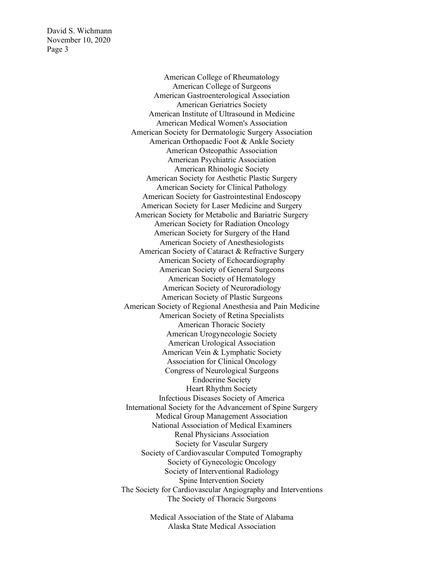David S. Wichmann November 10, 2020 Page 3

> American College of Rheumatology American College of Surgeons American Gastroenterological Association American Geriatrics Society American Institute of Ultrasound in Medicine American Medical Women's Association American Society for Dermatologic Surgery Association American Orthopaedic Foot & Ankle Society American Osteopathic Association American Psychiatric Association American Rhinologic Society American Society for Aesthetic Plastic Surgery American Society for Clinical Pathology American Society for Gastrointestinal Endoscopy American Society for Laser Medicine and Surgery American Society for Metabolic and Bariatric Surgery American Society for Radiation Oncology American Society for Surgery of the Hand American Society of Anesthesiologists American Society of Cataract & Refractive Surgery American Society of Echocardiography American Society of General Surgeons American Society of Hematology American Society of Neuroradiology American Society of Plastic Surgeons American Society of Regional Anesthesia and Pain Medicine American Society of Retina Specialists American Thoracic Society American Urogynecologic Society American Urological Association American Vein & Lymphatic Society Association for Clinical Oncology Congress of Neurological Surgeons Endocrine Society Heart Rhythm Society Infectious Diseases Society of America International Society for the Advancement of Spine Surgery Medical Group Management Association National Association of Medical Examiners Renal Physicians Association Society for Vascular Surgery Society of Cardiovascular Computed Tomography Society of Gynecologic Oncology Society of Interventional Radiology Spine Intervention Society The Society for Cardiovascular Angiography and Interventions The Society of Thoracic Surgeons

> > Medical Association of the State of Alabama Alaska State Medical Association